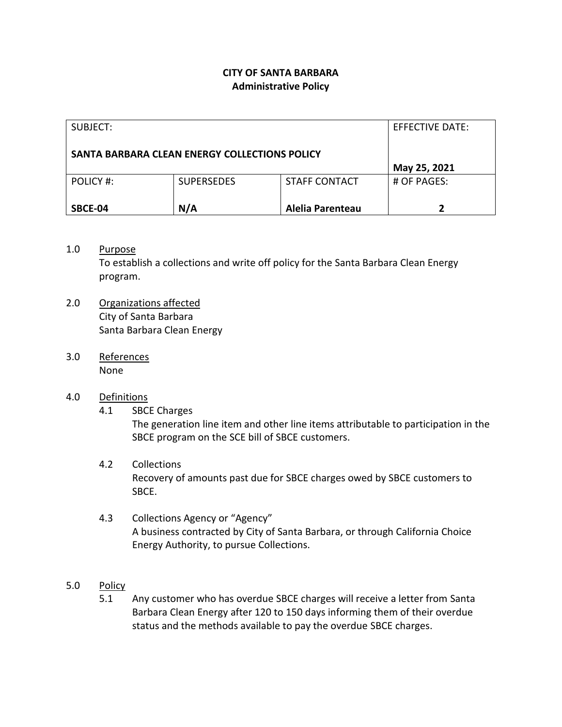## **CITY OF SANTA BARBARA Administrative Policy**

| SUBJECT:                                      |                   |                      | EFFECTIVE DATE: |
|-----------------------------------------------|-------------------|----------------------|-----------------|
| SANTA BARBARA CLEAN ENERGY COLLECTIONS POLICY |                   |                      |                 |
|                                               |                   |                      | May 25, 2021    |
| POLICY #:                                     | <b>SUPERSEDES</b> | <b>STAFF CONTACT</b> | # OF PAGES:     |
|                                               |                   |                      |                 |
| SBCE-04                                       | N/A               | Alelia Parenteau     |                 |

## 1.0 Purpose

To establish a collections and write off policy for the Santa Barbara Clean Energy program.

- 2.0 Organizations affected City of Santa Barbara Santa Barbara Clean Energy
- 3.0 References None

## 4.0 Definitions

4.1 SBCE Charges

The generation line item and other line items attributable to participation in the SBCE program on the SCE bill of SBCE customers.

## 4.2 Collections

Recovery of amounts past due for SBCE charges owed by SBCE customers to SBCE.

- 4.3 Collections Agency or "Agency" A business contracted by City of Santa Barbara, or through California Choice Energy Authority, to pursue Collections.
- 5.0 Policy
	- 5.1 Any customer who has overdue SBCE charges will receive a letter from Santa Barbara Clean Energy after 120 to 150 days informing them of their overdue status and the methods available to pay the overdue SBCE charges.